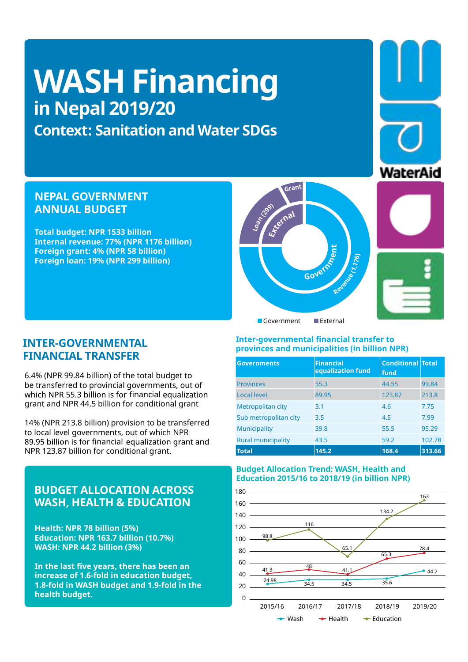# **WASH Financing in Nepal 2019/20**

**Context: Sanitation and Water SDGs**

# **NEPAL GOVERNMENT ANNUAL BUDGET**

**Total budget: NPR 1533 billion Internal revenue: 77% (NPR 1176 billion) Foreign grant: 4% (NPR 58 billion) Foreign loan: 19% (NPR 299 billion)**

## **INTER-GOVERNMENTAL FINANCIAL TRANSFER**

6.4% (NPR 99.84 billion) of the total budget to be transferred to provincial governments, out of grant and NPR 44.5 billion for conditional grant which NPR 55.3 billion is for financial equalization

14% (NPR 213.8 billion) provision to be transferred to local level governments, out of which NPR NPR 123.87 billion for conditional grant. 89.95 billion is for financial equalization grant and

# **BUDGET ALLOCATION ACROSS WASH, HEALTH & EDUCATION**

**Health: NPR 78 billion (5%) Education: NPR 163.7 billion (10.7%) WASH: NPR 44.2 billion (3%)**

In the last five years, there has been an **increase of 1.6-fold in education budget, 1.8-fold in WASH budget and 1.9-fold in the health budget.** 



**GOVETTRE** 

**nt**

**External**

**Grant**

**Loan (299)**

| <b>Governments</b>        | <b>Financial</b><br>equalization fund | <b>Conditional Total</b><br>fund |        |
|---------------------------|---------------------------------------|----------------------------------|--------|
| <b>Provinces</b>          | 55.3                                  | 44.55                            | 99.84  |
| <b>Local level</b>        | 89.95                                 | 123.87                           | 213.8  |
| Metropolitan city         | 3.1                                   | 4.6                              | 7.75   |
| Sub metropolitan city     | 3.5                                   | 4.5                              | 7.99   |
| Municipality              | 39.8                                  | 55.5                             | 95.29  |
| <b>Rural municipality</b> | 43.5                                  | 59.2                             | 102.78 |
| <b>Total</b>              | 145.2                                 | 168.4                            | 313.66 |

## **Budget Allocation Trend: WASH, Health and Education 2015/16 to 2018/19 (in billion NPR)**







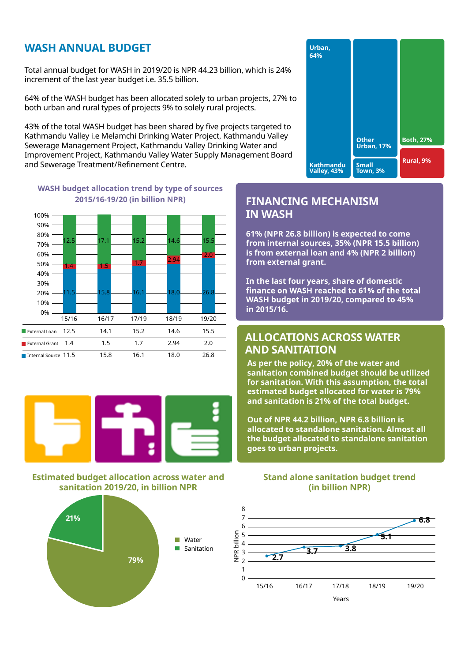#### $\mu$ cii anniual duncet i.e Melamchi Drinking Water Project, Kathmandu **WASH ANNUAL BUDGET**

Total annual budget for WASH in 2019/20 is NPR 44.23 billion, which is 24% and the state of the state  $\begin{array}{|c|c|c|}\hline \end{array}$ increment of the last year budget i.e. 35.5 billion.

64% of the WASH budget has been allocated solely to urban projects, 27% to **the source** on to the contract to Kathmandu Valley and the Catholic projects.<br>Both urban and rural types of projects 9% to solely rural projects. **61%**

43% of the total WASH budget has been shared by five projects targeted to<br>Kathmandu Valley i.e Melamchi Drinking Water Project, Kathmandu Valley Now of the total Witch Budget has been shared by the projects angeted to 45% of the comparison of the comparison<br>Kathmandu Valley i.e Melamchi Drinking Water Project, Kathmandu Valley and the comparison of the comparison i Rathmandd Valley I.C Mchantern Drinking Water Troject, Rathmandd Valley<br>Sewerage Management Project, Kathmandu Valley Drinking Water and Improvement Project, Kathmandu Valley Water Supply Management Board **4%** and Sewerage Treatment/Refinement Centre.



## **WASH budget allocation trend by type of sources 2019/20 (in billion NPR) 2015/16-19/20 (in billion NPR)**





## **Estimated budget allocation across water and sanitation 2019/20, in billion NPR**



## **FINANCING MECHANIS in WASH In the last four years, share of domestic IN WASH FINANCING MECHANISM**

**61% (NPR 26.8 billion) is expected to come from internal sources, 35% (NPR 15.5 billion) in 2015/16. is from external loan and 4% (NPR 2 billion) from external grant.**  $\overline{\phantom{a}}$ **sanitation combined budget should be utilized** 

In the last four years, share of domestic **WASH budget in 2019/20, compared to 45% and sanitation is 21% of the total budget. in 2015/16. finance on WASH reached to 61% of the total OUT OF NPR 44.2 billion, NPR 6.8 billion, NPR 6.8 billion, NPR 6.8 billion, NPR 6.8 billion, NPR 6.8 billion** 

**allocated to standalone sanitation. Almost all** 

#### **ALLOCATIONS ACROSS WATER the budget allocated to standalone sanitation AND SANITATION goes to urban projects.**

**As per the policy, 20% of the water and sanitation combined budget should be utilized for sanitation. With this assumption, the total estimated budget allocated for water is 79% and sanitation is 21% of the total budget.** 

**As per the policy, 20% of the water and allocated to standalone sanitation. Almost all sanitation combined budget should be utilized the budget allocated to standalone sanitation for sand the total projects.** With the total  $\mathbf{f}(\mathbf{f})$ **Out of NPR 44.2 billion, NPR 6.8 billion is** 

**estimated budget allocated for water is 79%** 

## **and sanitation is 21% of the total budget. Out of NPR 44.2 billion, NPR 6.8 billion is (in billion NPR) (in billion NPR) Stand alone sanitation budget trend Stand alone sanitation budget trend**

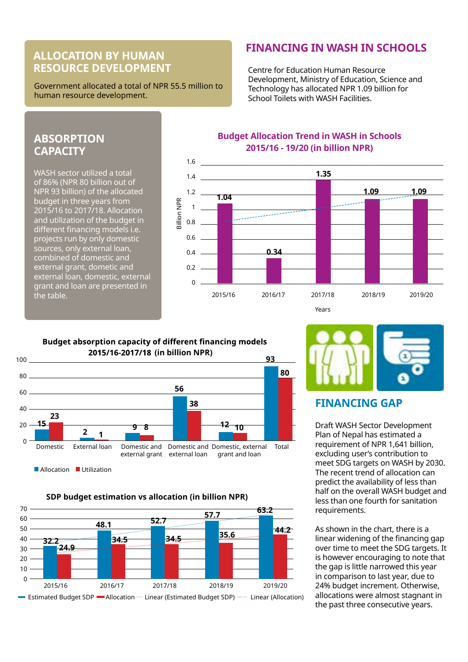# **ALLOCATION BY HUMAN RESOURCE DEVELOPMENT**

Government allocated a total of NPR 55.5 million to human resource development.

#### **FINANCING IN WASH IN SCHOOLS**  8 7

Centre for Education Human Resource 5 Development, Ministry of Education, Science and 4 **5.1** Technology has allocated NPR 1.09 billion for 3 **3.7 3.8** School Toilets with WASH Facilities. 2 **2.7**

# **ABSORPTION** out of  $\mathbf{P}$

WASH sector utilized a total  $\overline{\phantom{a}}$  and  $\overline{\phantom{a}}$ of 86% (NPR 80 billion out of  $\frac{1.4}{1.4}$ NPR 93 billion) of the allocated  $\overline{\phantom{a}}$  1.2  $\overline{\phantom{a}}$ budget in three years from  $\begin{array}{ccc} \epsilon & \epsilon \end{array}$ 2015/16 to 2017/18. Allocation and utilization of the budget in different financing models i.e. projects run by only domestic sources, only external loan,  $\mathcal{L}_{\mathbf{0}A}$  $\blacksquare$  combined of domestic and  $\blacksquare$ external grant, dometic and **80.2** to 2015/16 to 2015/16 to 2016/16 to 2015/16 to 2016/19. external loan, domestic, external grant and loan are presented in  $\qquad \qquad ^0$  $\epsilon$  the table. The domestic and external loan, combined of domestic and external loan,  $\epsilon$ 



#### pacity of di erent finaı ng models

**<sup>9</sup> <sup>8</sup> <sup>2</sup> <sup>1</sup>**



2016/17 2016/17 2016/17 2016/17 2016/17 2016

**SDP budget estimation vs allocation (in billion NPR)**





## **FINANCING GAP**

Draft WASH Sector Development Plan of Nepal has estimated a requirement of NPR 1,641 billion, excluding user's contribution to meet SDG targets on WASH by 2030. The recent trend of allocation can predict the availability of less than half on the overall WASH budget and less than one fourth for sanitation requirements.

As shown in the chart, there is a linear widening of the financing gap over time to meet the SDG targets. It is however encouraging to note that the gap is little narrowed this year in comparison to last year, due to 24% budget increment. Otherwise, allocations were almost stagnant in the past three consecutive years.